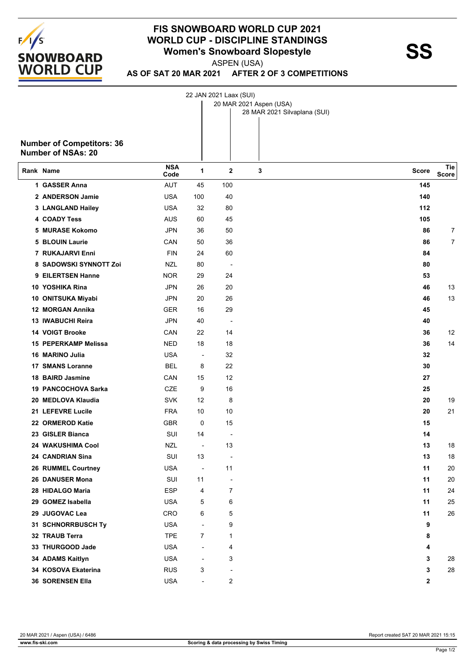

## **FIS SNOWBOARD WORLD CUP 2021 WORLD CUP - DISCIPLINE STANDINGS<br>
Women's Snowboard Slopestyle<br>
ASPEN (LISA)**

ASPEN (USA)

22 JAN 2021 Laax (SUI)

**AS OF SAT 20 MAR 2021 AFTER 2 OF 3 COMPETITIONS**

|                                                               |                    |                          |                          | 20 MAR 2021 Aspen (USA)<br>28 MAR 2021 Silvaplana (SUI) |              |                     |
|---------------------------------------------------------------|--------------------|--------------------------|--------------------------|---------------------------------------------------------|--------------|---------------------|
| <b>Number of Competitors: 36</b><br><b>Number of NSAs: 20</b> |                    |                          |                          |                                                         |              |                     |
| Rank Name                                                     | <b>NSA</b><br>Code | 1                        | $\mathbf{2}$             | 3                                                       | <b>Score</b> | Tie<br><b>Score</b> |
| 1 GASSER Anna                                                 | <b>AUT</b>         | 45                       | 100                      |                                                         | 145          |                     |
| 2 ANDERSON Jamie                                              | <b>USA</b>         | 100                      | 40                       |                                                         | 140          |                     |
| 3 LANGLAND Hailey                                             | <b>USA</b>         | 32                       | 80                       |                                                         | 112          |                     |
| <b>4 COADY Tess</b>                                           | <b>AUS</b>         | 60                       | 45                       |                                                         | 105          |                     |
| 5 MURASE Kokomo                                               | <b>JPN</b>         | 36                       | 50                       |                                                         | 86           | 7                   |
| <b>5 BLOUIN Laurie</b>                                        | CAN                | 50                       | 36                       |                                                         | 86           | 7                   |
| 7 RUKAJARVI Enni                                              | <b>FIN</b>         | 24                       | 60                       |                                                         | 84           |                     |
| 8 SADOWSKI SYNNOTT Zoi                                        | NZL                | 80                       | $\overline{\phantom{a}}$ |                                                         | 80           |                     |
| 9 EILERTSEN Hanne                                             | <b>NOR</b>         | 29                       | 24                       |                                                         | 53           |                     |
| 10 YOSHIKA Rina                                               | JPN                | 26                       | 20                       |                                                         | 46           | 13                  |
| 10 ONITSUKA Miyabi                                            | <b>JPN</b>         | 20                       | 26                       |                                                         | 46           | 13                  |
| 12 MORGAN Annika                                              | <b>GER</b>         | 16                       | 29                       |                                                         | 45           |                     |
| 13 IWABUCHI Reira                                             | <b>JPN</b>         | 40                       | $\overline{\phantom{a}}$ |                                                         | 40           |                     |
| <b>14 VOIGT Brooke</b>                                        | CAN                | 22                       | 14                       |                                                         | 36           | 12                  |
| 15 PEPERKAMP Melissa                                          | <b>NED</b>         | 18                       | 18                       |                                                         | 36           | 14                  |
| 16 MARINO Julia                                               | <b>USA</b>         | $\overline{\phantom{a}}$ | 32                       |                                                         | 32           |                     |
| <b>17 SMANS Loranne</b>                                       | <b>BEL</b>         | 8                        | 22                       |                                                         | 30           |                     |
| 18 BAIRD Jasmine                                              | CAN                | 15                       | 12                       |                                                         | 27           |                     |
| 19 PANCOCHOVA Sarka                                           | CZE                | 9                        | 16                       |                                                         | 25           |                     |
| 20 MEDLOVA Klaudia                                            | <b>SVK</b>         | 12                       | 8                        |                                                         | 20           | 19                  |
| 21 LEFEVRE Lucile                                             | <b>FRA</b>         | 10                       | 10                       |                                                         | 20           | 21                  |
| 22 ORMEROD Katie                                              | <b>GBR</b>         | 0                        | 15                       |                                                         | 15           |                     |
| 23 GISLER Bianca                                              | SUI                | 14                       | $\overline{\phantom{a}}$ |                                                         | 14           |                     |
| 24 WAKUSHIMA Cool                                             | <b>NZL</b>         | $\overline{a}$           | 13                       |                                                         | 13           | 18                  |
| 24 CANDRIAN Sina                                              | SUI                | 13                       |                          |                                                         | 13           | 18                  |
| 26 RUMMEL Courtney                                            | <b>USA</b>         | $\overline{\phantom{a}}$ | 11                       |                                                         | 11           | 20                  |
| 26 DANUSER Mona                                               | SUI                | 11                       |                          |                                                         | 11           | 20                  |
| 28 HIDALGO Maria                                              | <b>ESP</b>         | 4                        | 7                        |                                                         | 11           | 24                  |
| 29 GOMEZ Isabella                                             | <b>USA</b>         | 5                        | 6                        |                                                         | 11           | 25                  |
| 29 JUGOVAC Lea                                                | <b>CRO</b>         | 6                        | 5                        |                                                         | 11           | 26                  |
| 31 SCHNORRBUSCH Ty                                            | <b>USA</b>         | $\blacksquare$           | 9                        |                                                         | 9            |                     |
| 32 TRAUB Terra                                                | <b>TPE</b>         | $\overline{7}$           | 1                        |                                                         | 8            |                     |
| 33 THURGOOD Jade                                              | <b>USA</b>         | ÷,                       | 4                        |                                                         | 4            |                     |
| 34 ADAMS Kaitlyn                                              | <b>USA</b>         | $\overline{\phantom{a}}$ | 3                        |                                                         | 3            | 28                  |
| 34 KOSOVA Ekaterina                                           | <b>RUS</b>         | 3                        | $\overline{\phantom{a}}$ |                                                         | 3            | 28                  |
| 36 SORENSEN Ella                                              | <b>USA</b>         | $\overline{\phantom{a}}$ | 2                        |                                                         | $\mathbf{2}$ |                     |

20 MAR 2021 / Aspen (USA) / 6486 Report created SAT 20 MAR 2021 15:15